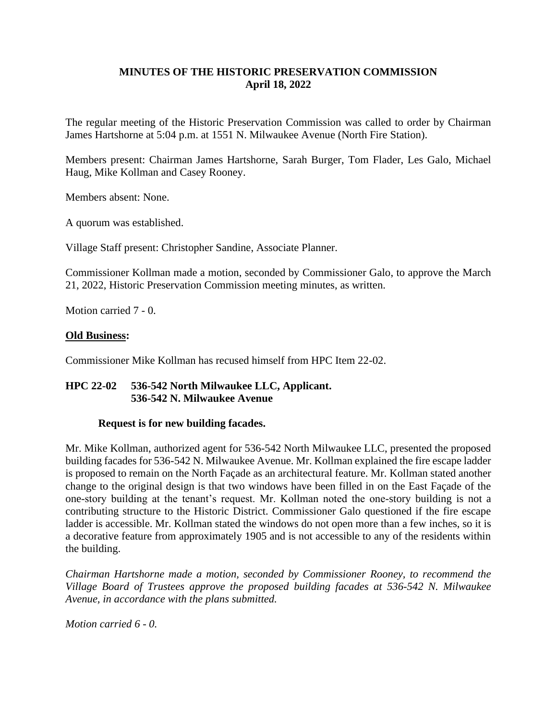# **MINUTES OF THE HISTORIC PRESERVATION COMMISSION April 18, 2022**

The regular meeting of the Historic Preservation Commission was called to order by Chairman James Hartshorne at 5:04 p.m. at 1551 N. Milwaukee Avenue (North Fire Station).

Members present: Chairman James Hartshorne, Sarah Burger, Tom Flader, Les Galo, Michael Haug, Mike Kollman and Casey Rooney.

Members absent: None.

A quorum was established.

Village Staff present: Christopher Sandine, Associate Planner.

Commissioner Kollman made a motion, seconded by Commissioner Galo, to approve the March 21, 2022, Historic Preservation Commission meeting minutes, as written.

Motion carried 7 - 0.

## **Old Business:**

Commissioner Mike Kollman has recused himself from HPC Item 22-02.

## **HPC 22-02 536-542 North Milwaukee LLC, Applicant. 536-542 N. Milwaukee Avenue**

## **Request is for new building facades.**

Mr. Mike Kollman, authorized agent for 536-542 North Milwaukee LLC, presented the proposed building facades for 536-542 N. Milwaukee Avenue. Mr. Kollman explained the fire escape ladder is proposed to remain on the North Façade as an architectural feature. Mr. Kollman stated another change to the original design is that two windows have been filled in on the East Façade of the one-story building at the tenant's request. Mr. Kollman noted the one-story building is not a contributing structure to the Historic District. Commissioner Galo questioned if the fire escape ladder is accessible. Mr. Kollman stated the windows do not open more than a few inches, so it is a decorative feature from approximately 1905 and is not accessible to any of the residents within the building.

*Chairman Hartshorne made a motion, seconded by Commissioner Rooney, to recommend the Village Board of Trustees approve the proposed building facades at 536-542 N. Milwaukee Avenue, in accordance with the plans submitted.*

*Motion carried 6 - 0.*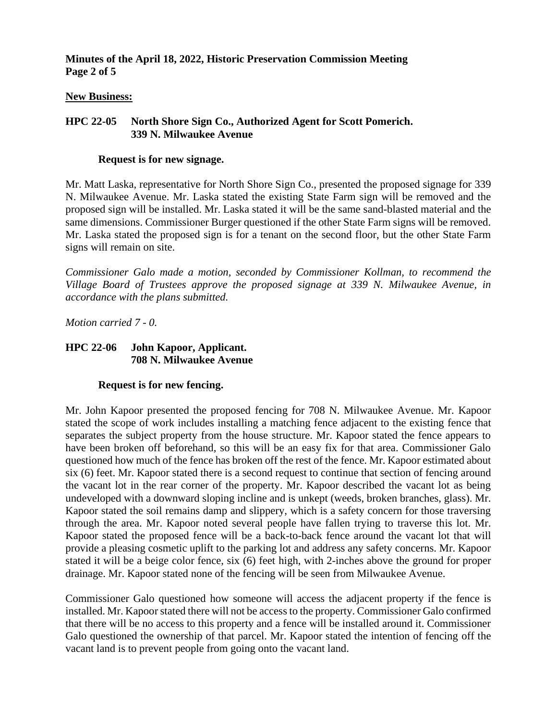**Minutes of the April 18, 2022, Historic Preservation Commission Meeting Page 2 of 5**

#### **New Business:**

## **HPC 22-05 North Shore Sign Co., Authorized Agent for Scott Pomerich. 339 N. Milwaukee Avenue**

#### **Request is for new signage.**

Mr. Matt Laska, representative for North Shore Sign Co., presented the proposed signage for 339 N. Milwaukee Avenue. Mr. Laska stated the existing State Farm sign will be removed and the proposed sign will be installed. Mr. Laska stated it will be the same sand-blasted material and the same dimensions. Commissioner Burger questioned if the other State Farm signs will be removed. Mr. Laska stated the proposed sign is for a tenant on the second floor, but the other State Farm signs will remain on site.

*Commissioner Galo made a motion, seconded by Commissioner Kollman, to recommend the Village Board of Trustees approve the proposed signage at 339 N. Milwaukee Avenue, in accordance with the plans submitted.*

*Motion carried 7 - 0.*

## **HPC 22-06 John Kapoor, Applicant. 708 N. Milwaukee Avenue**

## **Request is for new fencing.**

Mr. John Kapoor presented the proposed fencing for 708 N. Milwaukee Avenue. Mr. Kapoor stated the scope of work includes installing a matching fence adjacent to the existing fence that separates the subject property from the house structure. Mr. Kapoor stated the fence appears to have been broken off beforehand, so this will be an easy fix for that area. Commissioner Galo questioned how much of the fence has broken off the rest of the fence. Mr. Kapoor estimated about six (6) feet. Mr. Kapoor stated there is a second request to continue that section of fencing around the vacant lot in the rear corner of the property. Mr. Kapoor described the vacant lot as being undeveloped with a downward sloping incline and is unkept (weeds, broken branches, glass). Mr. Kapoor stated the soil remains damp and slippery, which is a safety concern for those traversing through the area. Mr. Kapoor noted several people have fallen trying to traverse this lot. Mr. Kapoor stated the proposed fence will be a back-to-back fence around the vacant lot that will provide a pleasing cosmetic uplift to the parking lot and address any safety concerns. Mr. Kapoor stated it will be a beige color fence, six (6) feet high, with 2-inches above the ground for proper drainage. Mr. Kapoor stated none of the fencing will be seen from Milwaukee Avenue.

Commissioner Galo questioned how someone will access the adjacent property if the fence is installed. Mr. Kapoor stated there will not be access to the property. Commissioner Galo confirmed that there will be no access to this property and a fence will be installed around it. Commissioner Galo questioned the ownership of that parcel. Mr. Kapoor stated the intention of fencing off the vacant land is to prevent people from going onto the vacant land.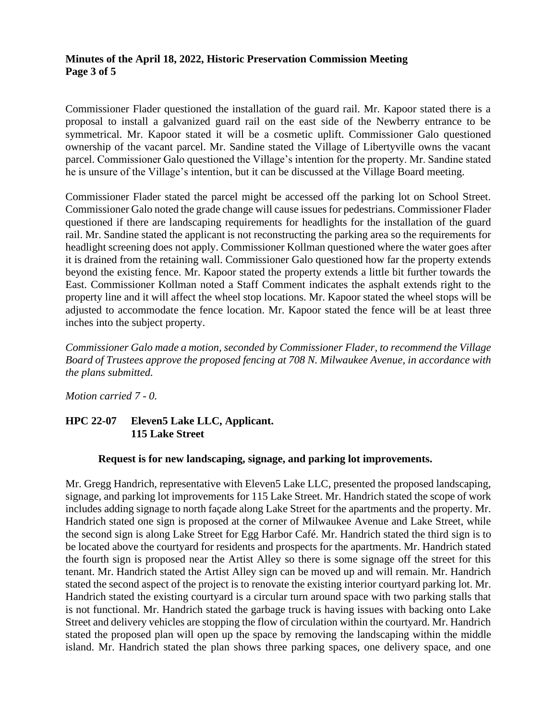## **Minutes of the April 18, 2022, Historic Preservation Commission Meeting Page 3 of 5**

Commissioner Flader questioned the installation of the guard rail. Mr. Kapoor stated there is a proposal to install a galvanized guard rail on the east side of the Newberry entrance to be symmetrical. Mr. Kapoor stated it will be a cosmetic uplift. Commissioner Galo questioned ownership of the vacant parcel. Mr. Sandine stated the Village of Libertyville owns the vacant parcel. Commissioner Galo questioned the Village's intention for the property. Mr. Sandine stated he is unsure of the Village's intention, but it can be discussed at the Village Board meeting.

Commissioner Flader stated the parcel might be accessed off the parking lot on School Street. Commissioner Galo noted the grade change will cause issues for pedestrians. Commissioner Flader questioned if there are landscaping requirements for headlights for the installation of the guard rail. Mr. Sandine stated the applicant is not reconstructing the parking area so the requirements for headlight screening does not apply. Commissioner Kollman questioned where the water goes after it is drained from the retaining wall. Commissioner Galo questioned how far the property extends beyond the existing fence. Mr. Kapoor stated the property extends a little bit further towards the East. Commissioner Kollman noted a Staff Comment indicates the asphalt extends right to the property line and it will affect the wheel stop locations. Mr. Kapoor stated the wheel stops will be adjusted to accommodate the fence location. Mr. Kapoor stated the fence will be at least three inches into the subject property.

*Commissioner Galo made a motion, seconded by Commissioner Flader, to recommend the Village Board of Trustees approve the proposed fencing at 708 N. Milwaukee Avenue, in accordance with the plans submitted.*

*Motion carried 7 - 0.*

# **HPC 22-07 Eleven5 Lake LLC, Applicant. 115 Lake Street**

## **Request is for new landscaping, signage, and parking lot improvements.**

Mr. Gregg Handrich, representative with Eleven5 Lake LLC, presented the proposed landscaping, signage, and parking lot improvements for 115 Lake Street. Mr. Handrich stated the scope of work includes adding signage to north façade along Lake Street for the apartments and the property. Mr. Handrich stated one sign is proposed at the corner of Milwaukee Avenue and Lake Street, while the second sign is along Lake Street for Egg Harbor Café. Mr. Handrich stated the third sign is to be located above the courtyard for residents and prospects for the apartments. Mr. Handrich stated the fourth sign is proposed near the Artist Alley so there is some signage off the street for this tenant. Mr. Handrich stated the Artist Alley sign can be moved up and will remain. Mr. Handrich stated the second aspect of the project is to renovate the existing interior courtyard parking lot. Mr. Handrich stated the existing courtyard is a circular turn around space with two parking stalls that is not functional. Mr. Handrich stated the garbage truck is having issues with backing onto Lake Street and delivery vehicles are stopping the flow of circulation within the courtyard. Mr. Handrich stated the proposed plan will open up the space by removing the landscaping within the middle island. Mr. Handrich stated the plan shows three parking spaces, one delivery space, and one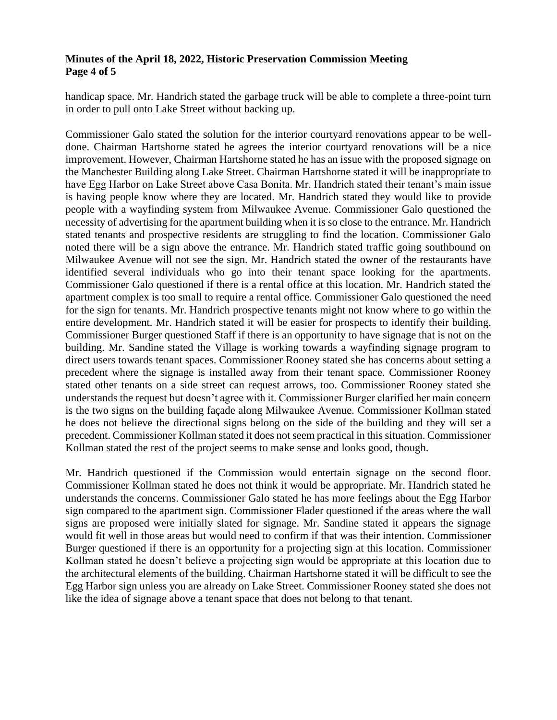## **Minutes of the April 18, 2022, Historic Preservation Commission Meeting Page 4 of 5**

handicap space. Mr. Handrich stated the garbage truck will be able to complete a three-point turn in order to pull onto Lake Street without backing up.

Commissioner Galo stated the solution for the interior courtyard renovations appear to be welldone. Chairman Hartshorne stated he agrees the interior courtyard renovations will be a nice improvement. However, Chairman Hartshorne stated he has an issue with the proposed signage on the Manchester Building along Lake Street. Chairman Hartshorne stated it will be inappropriate to have Egg Harbor on Lake Street above Casa Bonita. Mr. Handrich stated their tenant's main issue is having people know where they are located. Mr. Handrich stated they would like to provide people with a wayfinding system from Milwaukee Avenue. Commissioner Galo questioned the necessity of advertising for the apartment building when it is so close to the entrance. Mr. Handrich stated tenants and prospective residents are struggling to find the location. Commissioner Galo noted there will be a sign above the entrance. Mr. Handrich stated traffic going southbound on Milwaukee Avenue will not see the sign. Mr. Handrich stated the owner of the restaurants have identified several individuals who go into their tenant space looking for the apartments. Commissioner Galo questioned if there is a rental office at this location. Mr. Handrich stated the apartment complex is too small to require a rental office. Commissioner Galo questioned the need for the sign for tenants. Mr. Handrich prospective tenants might not know where to go within the entire development. Mr. Handrich stated it will be easier for prospects to identify their building. Commissioner Burger questioned Staff if there is an opportunity to have signage that is not on the building. Mr. Sandine stated the Village is working towards a wayfinding signage program to direct users towards tenant spaces. Commissioner Rooney stated she has concerns about setting a precedent where the signage is installed away from their tenant space. Commissioner Rooney stated other tenants on a side street can request arrows, too. Commissioner Rooney stated she understands the request but doesn't agree with it. Commissioner Burger clarified her main concern is the two signs on the building façade along Milwaukee Avenue. Commissioner Kollman stated he does not believe the directional signs belong on the side of the building and they will set a precedent. Commissioner Kollman stated it does not seem practical in this situation. Commissioner Kollman stated the rest of the project seems to make sense and looks good, though.

Mr. Handrich questioned if the Commission would entertain signage on the second floor. Commissioner Kollman stated he does not think it would be appropriate. Mr. Handrich stated he understands the concerns. Commissioner Galo stated he has more feelings about the Egg Harbor sign compared to the apartment sign. Commissioner Flader questioned if the areas where the wall signs are proposed were initially slated for signage. Mr. Sandine stated it appears the signage would fit well in those areas but would need to confirm if that was their intention. Commissioner Burger questioned if there is an opportunity for a projecting sign at this location. Commissioner Kollman stated he doesn't believe a projecting sign would be appropriate at this location due to the architectural elements of the building. Chairman Hartshorne stated it will be difficult to see the Egg Harbor sign unless you are already on Lake Street. Commissioner Rooney stated she does not like the idea of signage above a tenant space that does not belong to that tenant.